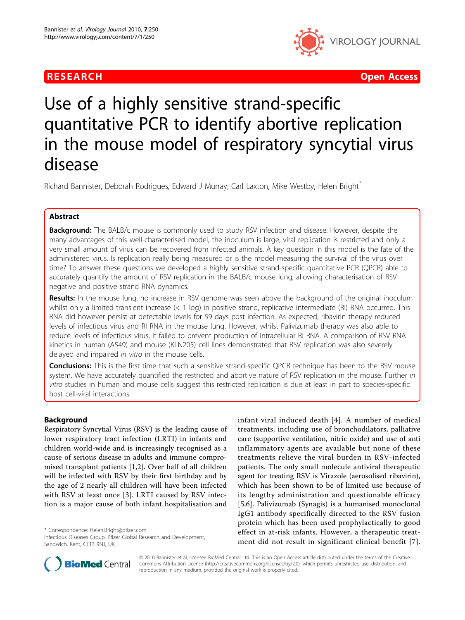

**RESEARCH CONTROL** CONTROL CONTROL CONTROL CONTROL CONTROL CONTROL CONTROL CONTROL CONTROL CONTROL CONTROL CONTROL CONTROL CONTROL CONTROL CONTROL CONTROL CONTROL CONTROL CONTROL CONTROL CONTROL CONTROL CONTROL CONTROL CON

# Use of a highly sensitive strand-specific quantitative PCR to identify abortive replication in the mouse model of respiratory syncytial virus disease

Richard Bannister, Deborah Rodrigues, Edward J Murray, Carl Laxton, Mike Westby, Helen Bright<sup>\*</sup>

# Abstract

**Background:** The BALB/c mouse is commonly used to study RSV infection and disease. However, despite the many advantages of this well-characterised model, the inoculum is large, viral replication is restricted and only a very small amount of virus can be recovered from infected animals. A key question in this model is the fate of the administered virus. Is replication really being measured or is the model measuring the survival of the virus over time? To answer these questions we developed a highly sensitive strand-specific quantitative PCR (QPCR) able to accurately quantify the amount of RSV replication in the BALB/c mouse lung, allowing characterisation of RSV negative and positive strand RNA dynamics.

Results: In the mouse lung, no increase in RSV genome was seen above the background of the original inoculum whilst only a limited transient increase (< 1 log) in positive strand, replicative intermediate (RI) RNA occurred. This RNA did however persist at detectable levels for 59 days post infection. As expected, ribavirin therapy reduced levels of infectious virus and RI RNA in the mouse lung. However, whilst Palivizumab therapy was also able to reduce levels of infectious virus, it failed to prevent production of intracellular RI RNA. A comparison of RSV RNA kinetics in human (A549) and mouse (KLN205) cell lines demonstrated that RSV replication was also severely delayed and impaired in vitro in the mouse cells.

Conclusions: This is the first time that such a sensitive strand-specific QPCR technique has been to the RSV mouse system. We have accurately quantified the restricted and abortive nature of RSV replication in the mouse. Further in vitro studies in human and mouse cells suggest this restricted replication is due at least in part to species-specific host cell-viral interactions.

# Background

Respiratory Syncytial Virus (RSV) is the leading cause of lower respiratory tract infection (LRTI) in infants and children world-wide and is increasingly recognised as a cause of serious disease in adults and immune compromised transplant patients [[1,2\]](#page-9-0). Over half of all children will be infected with RSV by their first birthday and by the age of 2 nearly all children will have been infected with RSV at least once [[3\]](#page-9-0). LRTI caused by RSV infection is a major cause of both infant hospitalisation and

\* Correspondence: [Helen.Bright@pfizer.com](mailto:Helen.Bright@pfizer.com)

infant viral induced death [[4](#page-9-0)]. A number of medical treatments, including use of bronchodilators, palliative care (supportive ventilation, nitric oxide) and use of anti inflammatory agents are available but none of these treatments relieve the viral burden in RSV-infected patients. The only small molecule antiviral therapeutic agent for treating RSV is Virazole (aerosolised ribavirin), which has been shown to be of limited use because of its lengthy administration and questionable efficacy [[5,6](#page-9-0)]. Palivizumab (Synagis) is a humanised monoclonal IgG1 antibody specifically directed to the RSV fusion protein which has been used prophylactically to good effect in at-risk infants. However, a therapeutic treatment did not result in significant clinical benefit [[7\]](#page-9-0).



© 2010 Bannister et al; licensee BioMed Central Ltd. This is an Open Access article distributed under the terms of the Creative Commons Attribution License [\(http://creativecommons.org/licenses/by/2.0](http://creativecommons.org/licenses/by/2.0)), which permits unrestricted use, distribution, and reproduction in any medium, provided the original work is properly cited.

Infectious Diseases Group, Pfizer Global Research and Development, Sandwich, Kent, CT13 9NJ, UK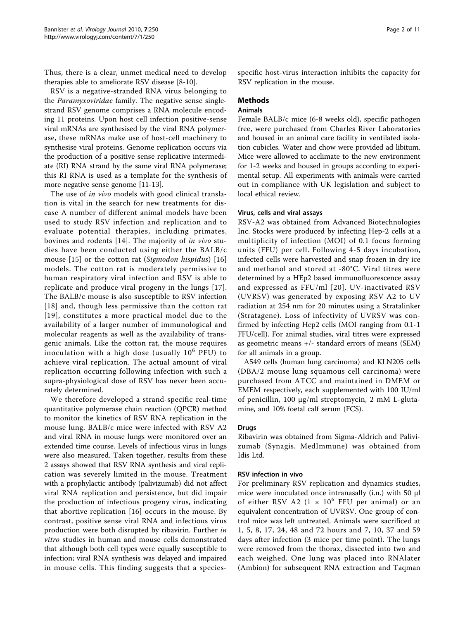Thus, there is a clear, unmet medical need to develop therapies able to ameliorate RSV disease [\[8](#page-9-0)-[10\]](#page-9-0).

RSV is a negative-stranded RNA virus belonging to the Paramyxoviridae family. The negative sense singlestrand RSV genome comprises a RNA molecule encoding 11 proteins. Upon host cell infection positive-sense viral mRNAs are synthesised by the viral RNA polymerase, these mRNAs make use of host-cell machinery to synthesise viral proteins. Genome replication occurs via the production of a positive sense replicative intermediate (RI) RNA strand by the same viral RNA polymerase; this RI RNA is used as a template for the synthesis of more negative sense genome [\[11-13](#page-9-0)].

The use of *in vivo* models with good clinical translation is vital in the search for new treatments for disease A number of different animal models have been used to study RSV infection and replication and to evaluate potential therapies, including primates, bovines and rodents [[14\]](#page-9-0). The majority of in vivo studies have been conducted using either the BALB/c mouse [\[15](#page-9-0)] or the cotton rat (Sigmodon hispidus) [\[16](#page-9-0)] models. The cotton rat is moderately permissive to human respiratory viral infection and RSV is able to replicate and produce viral progeny in the lungs [[17\]](#page-10-0). The BALB/c mouse is also susceptible to RSV infection [[18\]](#page-10-0) and, though less permissive than the cotton rat [[19](#page-10-0)], constitutes a more practical model due to the availability of a larger number of immunological and molecular reagents as well as the availability of transgenic animals. Like the cotton rat, the mouse requires inoculation with a high dose (usually  $10^6$  PFU) to achieve viral replication. The actual amount of viral replication occurring following infection with such a supra-physiological dose of RSV has never been accurately determined.

We therefore developed a strand-specific real-time quantitative polymerase chain reaction (QPCR) method to monitor the kinetics of RSV RNA replication in the mouse lung. BALB/c mice were infected with RSV A2 and viral RNA in mouse lungs were monitored over an extended time course. Levels of infectious virus in lungs were also measured. Taken together, results from these 2 assays showed that RSV RNA synthesis and viral replication was severely limited in the mouse. Treatment with a prophylactic antibody (palivizumab) did not affect viral RNA replication and persistence, but did impair the production of infectious progeny virus, indicating that abortive replication [\[16\]](#page-9-0) occurs in the mouse. By contrast, positive sense viral RNA and infectious virus production were both disrupted by ribavirin. Further in vitro studies in human and mouse cells demonstrated that although both cell types were equally susceptible to infection; viral RNA synthesis was delayed and impaired in mouse cells. This finding suggests that a speciesspecific host-virus interaction inhibits the capacity for RSV replication in the mouse.

#### Methods

# Animals

Female BALB/c mice (6-8 weeks old), specific pathogen free, were purchased from Charles River Laboratories and housed in an animal care facility in ventilated isolation cubicles. Water and chow were provided ad libitum. Mice were allowed to acclimate to the new environment for 1-2 weeks and housed in groups according to experimental setup. All experiments with animals were carried out in compliance with UK legislation and subject to local ethical review.

#### Virus, cells and viral assays

RSV-A2 was obtained from Advanced Biotechnologies Inc. Stocks were produced by infecting Hep-2 cells at a multiplicity of infection (MOI) of 0.1 focus forming units (FFU) per cell. Following 4-5 days incubation, infected cells were harvested and snap frozen in dry ice and methanol and stored at -80°C. Viral titres were determined by a HEp2 based immunofluorescence assay and expressed as FFU/ml [[20\]](#page-10-0). UV-inactivated RSV (UVRSV) was generated by exposing RSV A2 to UV radiation at 254 nm for 20 minutes using a Stratalinker (Stratagene). Loss of infectivity of UVRSV was confirmed by infecting Hep2 cells (MOI ranging from 0.1-1 FFU/cell). For animal studies, viral titres were expressed as geometric means +/- standard errors of means (SEM) for all animals in a group.

A549 cells (human lung carcinoma) and KLN205 cells (DBA/2 mouse lung squamous cell carcinoma) were purchased from ATCC and maintained in DMEM or EMEM respectively, each supplemented with 100 IU/ml of penicillin, 100 μg/ml streptomycin, 2 mM L-glutamine, and 10% foetal calf serum (FCS).

#### Drugs

Ribavirin was obtained from Sigma-Aldrich and Palivizumab (Synagis, MedImmune) was obtained from Idis Ltd.

#### RSV infection in vivo

For preliminary RSV replication and dynamics studies, mice were inoculated once intranasally (i.n.) with 50 μl of either RSV A2 (1  $\times$  10<sup>6</sup> FFU per animal) or an equivalent concentration of UVRSV. One group of control mice was left untreated. Animals were sacrificed at 1, 5, 8, 17, 24, 48 and 72 hours and 7, 10, 37 and 59 days after infection (3 mice per time point). The lungs were removed from the thorax, dissected into two and each weighed. One lung was placed into RNAlater (Ambion) for subsequent RNA extraction and Taqman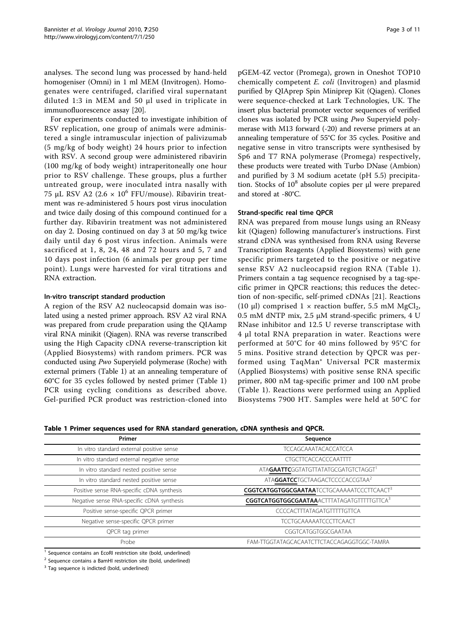<span id="page-2-0"></span>analyses. The second lung was processed by hand-held homogeniser (Omni) in 1 ml MEM (Invitrogen). Homogenates were centrifuged, clarified viral supernatant diluted 1:3 in MEM and 50 μl used in triplicate in immunofluorescence assay [[20\]](#page-10-0).

For experiments conducted to investigate inhibition of RSV replication, one group of animals were administered a single intramuscular injection of palivizumab (5 mg/kg of body weight) 24 hours prior to infection with RSV. A second group were administered ribavirin (100 mg/kg of body weight) intraperitoneally one hour prior to RSV challenge. These groups, plus a further untreated group, were inoculated intra nasally with 75 μL RSV A2 (2.6  $\times$  10<sup>6</sup> FFU/mouse). Ribavirin treatment was re-administered 5 hours post virus inoculation and twice daily dosing of this compound continued for a further day. Ribavirin treatment was not administered on day 2. Dosing continued on day 3 at 50 mg/kg twice daily until day 6 post virus infection. Animals were sacrificed at 1, 8, 24, 48 and 72 hours and 5, 7 and 10 days post infection (6 animals per group per time point). Lungs were harvested for viral titrations and RNA extraction.

# In-vitro transcript standard production

A region of the RSV A2 nucleocapsid domain was isolated using a nested primer approach. RSV A2 viral RNA was prepared from crude preparation using the QIAamp viral RNA minikit (Qiagen). RNA was reverse transcribed using the High Capacity cDNA reverse-transcription kit (Applied Biosystems) with random primers. PCR was conducted using Pwo Superyield polymerase (Roche) with external primers (Table 1) at an annealing temperature of 60°C for 35 cycles followed by nested primer (Table 1) PCR using cycling conditions as described above. Gel-purified PCR product was restriction-cloned into pGEM-4Z vector (Promega), grown in Oneshot TOP10 chemically competent E. coli (Invitrogen) and plasmid purified by QIAprep Spin Miniprep Kit (Qiagen). Clones were sequence-checked at Lark Technologies, UK. The insert plus bacterial promoter vector sequences of verified clones was isolated by PCR using Pwo Superyield polymerase with M13 forward (-20) and reverse primers at an annealing temperature of 55°C for 35 cycles. Positive and negative sense in vitro transcripts were synthesised by Sp6 and T7 RNA polymerase (Promega) respectively, these products were treated with Turbo DNase (Ambion) and purified by 3 M sodium acetate (pH 5.5) precipitation. Stocks of  $10^8$  absolute copies per μl were prepared and stored at -80°C.

# Strand-specific real time QPCR

RNA was prepared from mouse lungs using an RNeasy kit (Qiagen) following manufacturer's instructions. First strand cDNA was synthesised from RNA using Reverse Transcription Reagents (Applied Biosystems) with gene specific primers targeted to the positive or negative sense RSV A2 nucleocapsid region RNA (Table 1). Primers contain a tag sequence recognised by a tag-specific primer in QPCR reactions; this reduces the detection of non-specific, self-primed cDNAs [[21\]](#page-10-0). Reactions (10 μl) comprised  $1 \times$  reaction buffer, 5.5 mM MgCl<sub>2</sub>, 0.5 mM dNTP mix, 2.5 μM strand-specific primers, 4 U RNase inhibitor and 12.5 U reverse transcriptase with 4 μl total RNA preparation in water. Reactions were performed at 50°C for 40 mins followed by 95°C for 5 mins. Positive strand detection by QPCR was performed using TaqMan® Universal PCR mastermix (Applied Biosystems) with positive sense RNA specific primer, 800 nM tag-specific primer and 100 nM probe (Table 1). Reactions were performed using an Applied Biosystems 7900 HT. Samples were held at 50°C for

Table 1 Primer sequences used for RNA standard generation, cDNA synthesis and QPCR.

| Primer                                     | Sequence                                                 |  |  |
|--------------------------------------------|----------------------------------------------------------|--|--|
| In vitro standard external positive sense  | <b>TCCAGCAAATACACCATCCA</b>                              |  |  |
| In vitro standard external negative sense  | <b>CTGCTTCACCACCCAATTTT</b>                              |  |  |
| In vitro standard nested positive sense    | ATA <b>GAATTC</b> GGTATGTTATATGCGATGTCTAGGT <sup>1</sup> |  |  |
| In vitro standard nested positive sense    | ATAGGATCCTGCTAAGACTCCCCACCGTAA <sup>2</sup>              |  |  |
| Positive sense RNA-specific cDNA synthesis | <b>CGGTCATGGTGGCGAATAATCCTGCAAAAATCCCTTCAACT3</b>        |  |  |
| Negative sense RNA-specific cDNA synthesis | <b>CGGTCATGGTGGCGAATAAACTTTATAGATGTTTTTGTTCA3</b>        |  |  |
| Positive sense-specific QPCR primer        | CCCCACTTTATAGATGTTTTGTTCA                                |  |  |
| Negative sense-specific QPCR primer        | <b>TCCTGCAAAAATCCCTTCAACT</b>                            |  |  |
| QPCR tag primer                            | CGGTCATGGTGGCGAATAA                                      |  |  |
| Probe                                      | FAM-TTGGTATAGCACAATCTTCTACCAGAGGTGGC-TAMRA               |  |  |

<sup>1</sup> Sequence contains an EcoRI restriction site (bold, underlined)

<sup>2</sup> Sequence contains a BamHI restriction site (bold, underlined)

 $3$  Tag sequence is indicted (bold, underlined)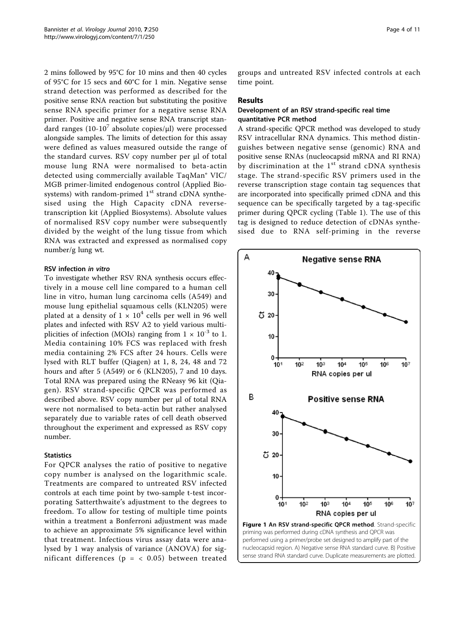<span id="page-3-0"></span>2 mins followed by 95°C for 10 mins and then 40 cycles of 95°C for 15 secs and 60°C for 1 min. Negative sense strand detection was performed as described for the positive sense RNA reaction but substituting the positive sense RNA specific primer for a negative sense RNA primer. Positive and negative sense RNA transcript standard ranges  $(10-10^7)$  absolute copies/ $\mu$ l) were processed alongside samples. The limits of detection for this assay were defined as values measured outside the range of the standard curves. RSV copy number per μl of total mouse lung RNA were normalised to beta-actin detected using commercially available TaqMan® VIC/ MGB primer-limited endogenous control (Applied Biosystems) with random-primed  $1<sup>st</sup>$  strand cDNA synthesised using the High Capacity cDNA reversetranscription kit (Applied Biosystems). Absolute values of normalised RSV copy number were subsequently divided by the weight of the lung tissue from which RNA was extracted and expressed as normalised copy number/g lung wt.

# RSV infection in vitro

To investigate whether RSV RNA synthesis occurs effectively in a mouse cell line compared to a human cell line in vitro, human lung carcinoma cells (A549) and mouse lung epithelial squamous cells (KLN205) were plated at a density of  $1 \times 10^4$  cells per well in 96 well plates and infected with RSV A2 to yield various multiplicities of infection (MOIs) ranging from  $1 \times 10^{-3}$  to 1. Media containing 10% FCS was replaced with fresh media containing 2% FCS after 24 hours. Cells were lysed with RLT buffer (Qiagen) at 1, 8, 24, 48 and 72 hours and after 5 (A549) or 6 (KLN205), 7 and 10 days. Total RNA was prepared using the RNeasy 96 kit (Qiagen). RSV strand-specific QPCR was performed as described above. RSV copy number per μl of total RNA were not normalised to beta-actin but rather analysed separately due to variable rates of cell death observed throughout the experiment and expressed as RSV copy number.

#### **Statistics**

For QPCR analyses the ratio of positive to negative copy number is analysed on the logarithmic scale. Treatments are compared to untreated RSV infected controls at each time point by two-sample t-test incorporating Satterthwaite's adjustment to the degrees to freedom. To allow for testing of multiple time points within a treatment a Bonferroni adjustment was made to achieve an approximate 5% significance level within that treatment. Infectious virus assay data were analysed by 1 way analysis of variance (ANOVA) for significant differences ( $p = < 0.05$ ) between treated

groups and untreated RSV infected controls at each time point.

## Results

# Development of an RSV strand-specific real time quantitative PCR method

A strand-specific QPCR method was developed to study RSV intracellular RNA dynamics. This method distinguishes between negative sense (genomic) RNA and positive sense RNAs (nucleocapsid mRNA and RI RNA) by discrimination at the  $1<sup>st</sup>$  strand cDNA synthesis stage. The strand-specific RSV primers used in the reverse transcription stage contain tag sequences that are incorporated into specifically primed cDNA and this sequence can be specifically targeted by a tag-specific primer during QPCR cycling (Table [1](#page-2-0)). The use of this tag is designed to reduce detection of cDNAs synthesised due to RNA self-priming in the reverse

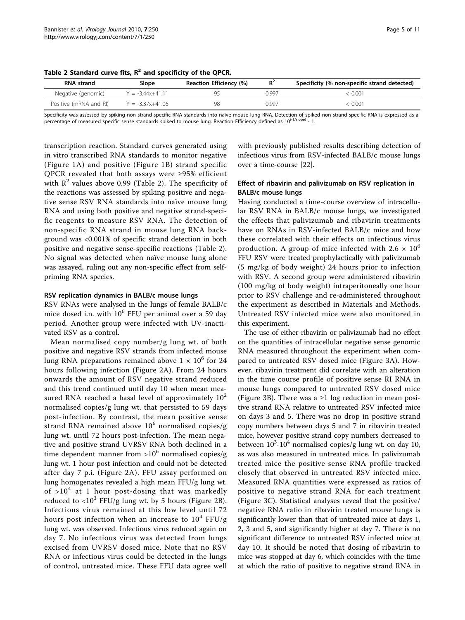| Table 2 Standard curve fits, $R^2$ and specificity of the QPCR. |
|-----------------------------------------------------------------|
|-----------------------------------------------------------------|

| <b>RNA</b> strand      | Slope                | Reaction Efficiency (%) | $R^2$ | Specificity (% non-specific strand detected) |
|------------------------|----------------------|-------------------------|-------|----------------------------------------------|
| Negative (genomic)     | $Y = -3.44x + 41.11$ | Q۵                      | 0.997 | 0.001                                        |
| Positive (mRNA and RI) | $Y = -3.37x + 41.06$ | 98                      | ገ ዓዓ7 | $0.00^{\circ}$                               |

Specificity was assessed by spiking non strand-specific RNA standards into naïve mouse lung RNA. Detection of spiked non strand-specific RNA is expressed as a percentage of measured specific sense standards spiked to mouse lung. Reaction Efficiency defined as 10<sup>(-1/slope)</sup> - 1.

transcription reaction. Standard curves generated using in vitro transcribed RNA standards to monitor negative (Figure [1A](#page-3-0)) and positive (Figure [1B](#page-3-0)) strand specific QPCR revealed that both assays were ≥95% efficient with  $R^2$  values above 0.99 (Table 2). The specificity of the reactions was assessed by spiking positive and negative sense RSV RNA standards into naïve mouse lung RNA and using both positive and negative strand-specific reagents to measure RSV RNA. The detection of non-specific RNA strand in mouse lung RNA background was <0.001% of specific strand detection in both positive and negative sense-specific reactions (Table 2). No signal was detected when naïve mouse lung alone was assayed, ruling out any non-specific effect from selfpriming RNA species.

#### RSV replication dynamics in BALB/c mouse lungs

RSV RNAs were analysed in the lungs of female BALB/c mice dosed i.n. with  $10^6$  FFU per animal over a 59 day period. Another group were infected with UV-inactivated RSV as a control.

Mean normalised copy number/g lung wt. of both positive and negative RSV strands from infected mouse lung RNA preparations remained above  $1 \times 10^6$  for 24 hours following infection (Figure [2A\)](#page-5-0). From 24 hours onwards the amount of RSV negative strand reduced and this trend continued until day 10 when mean measured RNA reached a basal level of approximately  $10<sup>2</sup>$ normalised copies/g lung wt. that persisted to 59 days post-infection. By contrast, the mean positive sense strand RNA remained above  $10^6$  normalised copies/g lung wt. until 72 hours post-infection. The mean negative and positive strand UVRSV RNA both declined in a time dependent manner from  $>10^6$  normalised copies/g lung wt. 1 hour post infection and could not be detected after day 7 p.i. (Figure [2A\)](#page-5-0). FFU assay performed on lung homogenates revealed a high mean FFU/g lung wt. of  $>10^4$  at 1 hour post-dosing that was markedly reduced to  $\langle 10^3$  FFU/g lung wt. by 5 hours (Figure [2B](#page-5-0)). Infectious virus remained at this low level until 72 hours post infection when an increase to  $10^4$  FFU/g lung wt. was observed. Infectious virus reduced again on day 7. No infectious virus was detected from lungs excised from UVRSV dosed mice. Note that no RSV RNA or infectious virus could be detected in the lungs of control, untreated mice. These FFU data agree well with previously published results describing detection of infectious virus from RSV-infected BALB/c mouse lungs over a time-course [[22\]](#page-10-0).

## Effect of ribavirin and palivizumab on RSV replication in BALB/c mouse lungs

Having conducted a time-course overview of intracellular RSV RNA in BALB/c mouse lungs, we investigated the effects that palivizumab and ribavirin treatments have on RNAs in RSV-infected BALB/c mice and how these correlated with their effects on infectious virus production. A group of mice infected with  $2.6 \times 10^6$ FFU RSV were treated prophylactically with palivizumab (5 mg/kg of body weight) 24 hours prior to infection with RSV. A second group were administered ribavirin (100 mg/kg of body weight) intraperitoneally one hour prior to RSV challenge and re-administered throughout the experiment as described in Materials and Methods. Untreated RSV infected mice were also monitored in this experiment.

The use of either ribavirin or palivizumab had no effect on the quantities of intracellular negative sense genomic RNA measured throughout the experiment when compared to untreated RSV dosed mice (Figure [3A](#page-6-0)). However, ribavirin treatment did correlate with an alteration in the time course profile of positive sense RI RNA in mouse lungs compared to untreated RSV dosed mice (Figure [3B\)](#page-6-0). There was a  $\geq 1$  log reduction in mean positive strand RNA relative to untreated RSV infected mice on days 3 and 5. There was no drop in positive strand copy numbers between days 5 and 7 in ribavirin treated mice, however positive strand copy numbers decreased to between  $10^3$ -10<sup>4</sup> normalised copies/g lung wt. on day 10, as was also measured in untreated mice. In palivizumab treated mice the positive sense RNA profile tracked closely that observed in untreated RSV infected mice. Measured RNA quantities were expressed as ratios of positive to negative strand RNA for each treatment (Figure [3C](#page-6-0)). Statistical analyses reveal that the positive/ negative RNA ratio in ribavirin treated mouse lungs is significantly lower than that of untreated mice at days 1, 2, 3 and 5, and significantly higher at day 7. There is no significant difference to untreated RSV infected mice at day 10. It should be noted that dosing of ribavirin to mice was stopped at day 6, which coincides with the time at which the ratio of positive to negative strand RNA in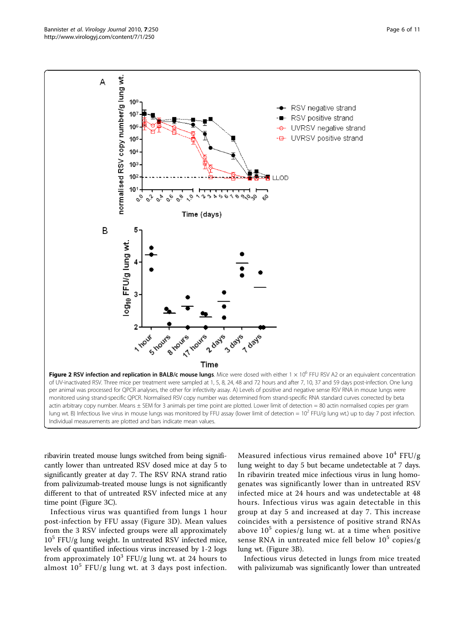ribavirin treated mouse lungs switched from being significantly lower than untreated RSV dosed mice at day 5 to significantly greater at day 7. The RSV RNA strand ratio from palivizumab-treated mouse lungs is not significantly different to that of untreated RSV infected mice at any time point (Figure [3C\)](#page-6-0).

Infectious virus was quantified from lungs 1 hour post-infection by FFU assay (Figure [3D](#page-6-0)). Mean values from the 3 RSV infected groups were all approximately  $10<sup>5</sup>$  FFU/g lung weight. In untreated RSV infected mice, levels of quantified infectious virus increased by 1-2 logs from approximately  $10^3$  FFU/g lung wt. at 24 hours to almost  $10^5$  FFU/g lung wt. at 3 days post infection.

Measured infectious virus remained above  $10^4$  FFU/g lung weight to day 5 but became undetectable at 7 days. In ribavirin treated mice infectious virus in lung homogenates was significantly lower than in untreated RSV infected mice at 24 hours and was undetectable at 48 hours. Infectious virus was again detectable in this group at day 5 and increased at day 7. This increase coincides with a persistence of positive strand RNAs above  $10^5$  copies/g lung wt. at a time when positive sense RNA in untreated mice fell below  $10^5$  copies/g lung wt. (Figure [3B\)](#page-6-0).

Infectious virus detected in lungs from mice treated with palivizumab was significantly lower than untreated

Time of UV-inactivated RSV. Three mice per treatment were sampled at 1, 5, 8, 24, 48 and 72 hours and after 7, 10, 37 and 59 days post-infection. One lung per animal was processed for QPCR analyses, the other for infectivity assay. A) Levels of positive and negative sense RSV RNA in mouse lungs were monitored using strand-specific QPCR. Normalised RSV copy number was determined from strand-specific RNA standard curves corrected by beta actin arbitrary copy number. Means ± SEM for 3 animals per time point are plotted. Lower limit of detection = 80 actin normalised copies per gram lung wt. B) Infectious live virus in mouse lungs was monitored by FFU assay (lower limit of detection =  $10^2$  FFU/g lung wt.) up to day 7 post infection. Individual measurements are plotted and bars indicate mean values.

<span id="page-5-0"></span>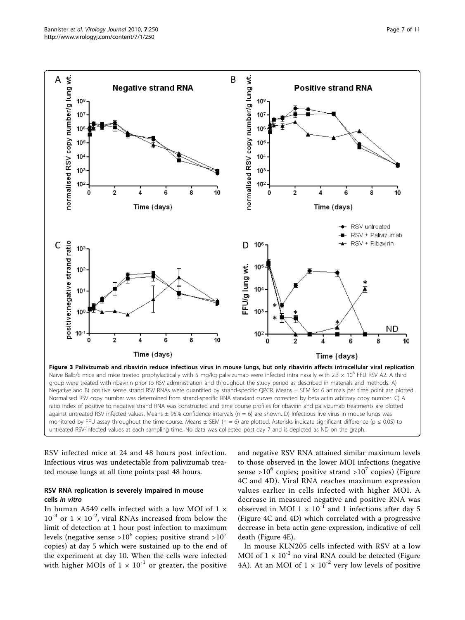<span id="page-6-0"></span>

ratio index of positive to negative strand RNA was constructed and time course profiles for ribavirin and palivizumab treatments are plotted against untreated RSV infected values. Means  $\pm$  95% confidence intervals (n = 6) are shown. D) Infectious live virus in mouse lungs was monitored by FFU assay throughout the time-course. Means  $\pm$  SEM (n = 6) are plotted. Asterisks indicate significant difference (p  $\leq$  0.05) to untreated RSV-infected values at each sampling time. No data was collected post day 7 and is depicted as ND on the graph.

RSV infected mice at 24 and 48 hours post infection. Infectious virus was undetectable from palivizumab treated mouse lungs at all time points past 48 hours.

# RSV RNA replication is severely impaired in mouse cells in vitro

In human A549 cells infected with a low MOI of 1 ×  $10^{-3}$  or  $1 \times 10^{-2}$ , viral RNAs increased from below the limit of detection at 1 hour post infection to maximum levels (negative sense >10<sup>6</sup> copies; positive strand >10<sup>7</sup> copies) at day 5 which were sustained up to the end of the experiment at day 10. When the cells were infected with higher MOIs of  $1 \times 10^{-1}$  or greater, the positive

and negative RSV RNA attained similar maximum levels to those observed in the lower MOI infections (negative sense >10<sup>6</sup> copies; positive strand >10<sup>7</sup> copies) (Figure [4C](#page-7-0) and [4D](#page-7-0)). Viral RNA reaches maximum expression values earlier in cells infected with higher MOI. A decrease in measured negative and positive RNA was observed in MOI 1  $\times$  10<sup>-1</sup> and 1 infections after day 5 (Figure [4C](#page-7-0) and [4D](#page-7-0)) which correlated with a progressive decrease in beta actin gene expression, indicative of cell death (Figure [4E\)](#page-7-0).

In mouse KLN205 cells infected with RSV at a low MOI of  $1 \times 10^{-3}$  no viral RNA could be detected (Figure [4A\)](#page-7-0). At an MOI of  $1 \times 10^{-2}$  very low levels of positive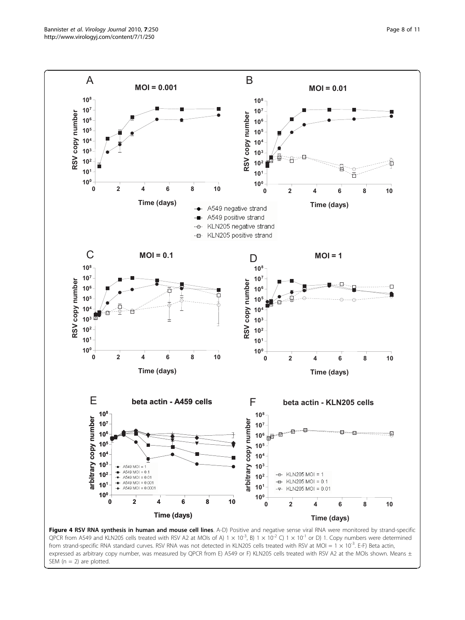<span id="page-7-0"></span>

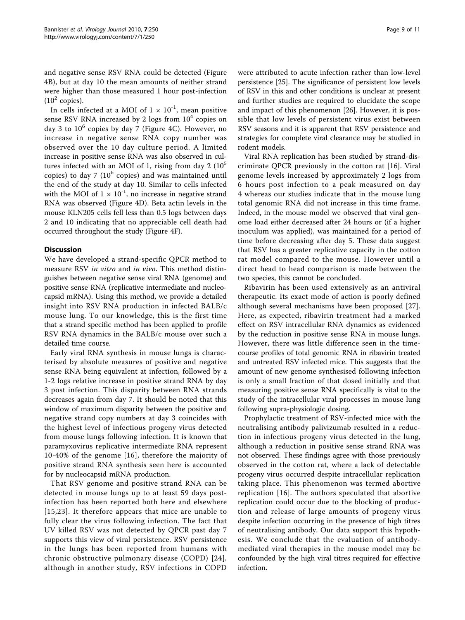and negative sense RSV RNA could be detected (Figure [4B\)](#page-7-0), but at day 10 the mean amounts of neither strand were higher than those measured 1 hour post-infection  $(10^2 \text{ copies}).$ 

In cells infected at a MOI of  $1 \times 10^{-1}$ , mean positive sense RSV RNA increased by 2 logs from  $10<sup>4</sup>$  copies on day 3 to  $10^6$  copies by day 7 (Figure [4C](#page-7-0)). However, no increase in negative sense RNA copy number was observed over the 10 day culture period. A limited increase in positive sense RNA was also observed in cultures infected with an MOI of 1, rising from day  $2 \ (10^5)$ copies) to day 7 ( $10^6$  copies) and was maintained until the end of the study at day 10. Similar to cells infected with the MOI of  $1 \times 10^{-1}$ , no increase in negative strand RNA was observed (Figure [4D](#page-7-0)). Beta actin levels in the mouse KLN205 cells fell less than 0.5 logs between days 2 and 10 indicating that no appreciable cell death had occurred throughout the study (Figure [4F](#page-7-0)).

## **Discussion**

We have developed a strand-specific QPCR method to measure RSV in vitro and in vivo. This method distinguishes between negative sense viral RNA (genome) and positive sense RNA (replicative intermediate and nucleocapsid mRNA). Using this method, we provide a detailed insight into RSV RNA production in infected BALB/c mouse lung. To our knowledge, this is the first time that a strand specific method has been applied to profile RSV RNA dynamics in the BALB/c mouse over such a detailed time course.

Early viral RNA synthesis in mouse lungs is characterised by absolute measures of positive and negative sense RNA being equivalent at infection, followed by a 1-2 logs relative increase in positive strand RNA by day 3 post infection. This disparity between RNA strands decreases again from day 7. It should be noted that this window of maximum disparity between the positive and negative strand copy numbers at day 3 coincides with the highest level of infectious progeny virus detected from mouse lungs following infection. It is known that paramyxovirus replicative intermediate RNA represent 10-40% of the genome [[16\]](#page-9-0), therefore the majority of positive strand RNA synthesis seen here is accounted for by nucleocapsid mRNA production.

That RSV genome and positive strand RNA can be detected in mouse lungs up to at least 59 days postinfection has been reported both here and elsewhere [[15,](#page-9-0)[23\]](#page-10-0). It therefore appears that mice are unable to fully clear the virus following infection. The fact that UV killed RSV was not detected by QPCR past day 7 supports this view of viral persistence. RSV persistence in the lungs has been reported from humans with chronic obstructive pulmonary disease (COPD) [[24\]](#page-10-0), although in another study, RSV infections in COPD were attributed to acute infection rather than low-level persistence [\[25](#page-10-0)]. The significance of persistent low levels of RSV in this and other conditions is unclear at present and further studies are required to elucidate the scope and impact of this phenomenon [[26\]](#page-10-0). However, it is possible that low levels of persistent virus exist between RSV seasons and it is apparent that RSV persistence and strategies for complete viral clearance may be studied in rodent models.

Viral RNA replication has been studied by strand-discriminate QPCR previously in the cotton rat [\[16](#page-9-0)]. Viral genome levels increased by approximately 2 logs from 6 hours post infection to a peak measured on day 4 whereas our studies indicate that in the mouse lung total genomic RNA did not increase in this time frame. Indeed, in the mouse model we observed that viral genome load either decreased after 24 hours or (if a higher inoculum was applied), was maintained for a period of time before decreasing after day 5. These data suggest that RSV has a greater replicative capacity in the cotton rat model compared to the mouse. However until a direct head to head comparison is made between the two species, this cannot be concluded.

Ribavirin has been used extensively as an antiviral therapeutic. Its exact mode of action is poorly defined although several mechanisms have been proposed [[27](#page-10-0)]. Here, as expected, ribavirin treatment had a marked effect on RSV intracellular RNA dynamics as evidenced by the reduction in positive sense RNA in mouse lungs. However, there was little difference seen in the timecourse profiles of total genomic RNA in ribavirin treated and untreated RSV infected mice. This suggests that the amount of new genome synthesised following infection is only a small fraction of that dosed initially and that measuring positive sense RNA specifically is vital to the study of the intracellular viral processes in mouse lung following supra-physiologic dosing.

Prophylactic treatment of RSV-infected mice with the neutralising antibody palivizumab resulted in a reduction in infectious progeny virus detected in the lung, although a reduction in positive sense strand RNA was not observed. These findings agree with those previously observed in the cotton rat, where a lack of detectable progeny virus occurred despite intracellular replication taking place. This phenomenon was termed abortive replication [[16](#page-9-0)]. The authors speculated that abortive replication could occur due to the blocking of production and release of large amounts of progeny virus despite infection occurring in the presence of high titres of neutralising antibody. Our data support this hypothesis. We conclude that the evaluation of antibodymediated viral therapies in the mouse model may be confounded by the high viral titres required for effective infection.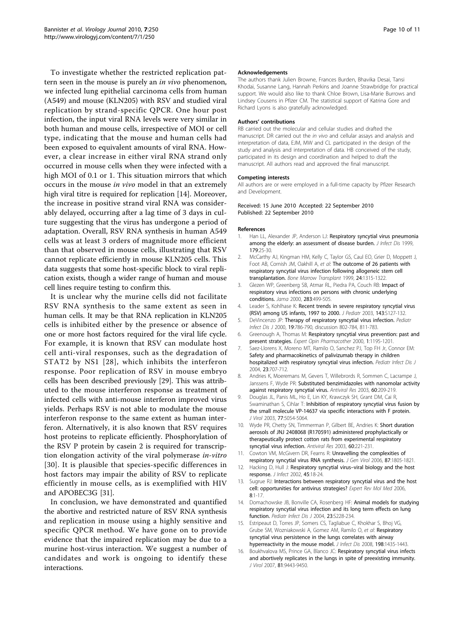<span id="page-9-0"></span>To investigate whether the restricted replication pattern seen in the mouse is purely an *in vivo* phenomenon, we infected lung epithelial carcinoma cells from human (A549) and mouse (KLN205) with RSV and studied viral replication by strand-specific QPCR. One hour post infection, the input viral RNA levels were very similar in both human and mouse cells, irrespective of MOI or cell type, indicating that the mouse and human cells had been exposed to equivalent amounts of viral RNA. However, a clear increase in either viral RNA strand only occurred in mouse cells when they were infected with a high MOI of 0.1 or 1. This situation mirrors that which occurs in the mouse in vivo model in that an extremely high viral titre is required for replication [14]. Moreover, the increase in positive strand viral RNA was considerably delayed, occurring after a lag time of 3 days in culture suggesting that the virus has undergone a period of adaptation. Overall, RSV RNA synthesis in human A549 cells was at least 3 orders of magnitude more efficient than that observed in mouse cells, illustrating that RSV cannot replicate efficiently in mouse KLN205 cells. This data suggests that some host-specific block to viral replication exists, though a wider range of human and mouse cell lines require testing to confirm this.

It is unclear why the murine cells did not facilitate RSV RNA synthesis to the same extent as seen in human cells. It may be that RNA replication in KLN205 cells is inhibited either by the presence or absence of one or more host factors required for the viral life cycle. For example, it is known that RSV can modulate host cell anti-viral responses, such as the degradation of STAT2 by NS1 [[28](#page-10-0)], which inhibits the interferon response. Poor replication of RSV in mouse embryo cells has been described previously [[29\]](#page-10-0). This was attributed to the mouse interferon response as treatment of infected cells with anti-mouse interferon improved virus yields. Perhaps RSV is not able to modulate the mouse interferon response to the same extent as human interferon. Alternatively, it is also known that RSV requires host proteins to replicate efficiently. Phosphorylation of the RSV P protein by casein 2 is required for transcription elongation activity of the viral polymerase in-vitro [[30](#page-10-0)]. It is plausible that species-specific differences in host factors may impair the ability of RSV to replicate efficiently in mouse cells, as is exemplified with HIV and APOBEC3G [\[31](#page-10-0)].

In conclusion, we have demonstrated and quantified the abortive and restricted nature of RSV RNA synthesis and replication in mouse using a highly sensitive and specific QPCR method. We have gone on to provide evidence that the impaired replication may be due to a murine host-virus interaction. We suggest a number of candidates and work is ongoing to identify these interactions.

#### Acknowledgements

The authors thank Julien Browne, Frances Burden, Bhavika Desai, Tansi Khodai, Susanne Lang, Hannah Perkins and Joanne Strawbridge for practical support. We would also like to thank Chloe Brown, Lisa-Marie Burrows and Lindsey Cousens in Pfizer CM. The statistical support of Katrina Gore and Richard Lyons is also gratefully acknowledged.

#### Authors' contributions

RB carried out the molecular and cellular studies and drafted the manuscript. DR carried out the in vivo and cellular assays and analysis and interpretation of data, EJM, MW and CL participated in the design of the study and analysis and interpretation of data. HB conceived of the study, participated in its design and coordination and helped to draft the manuscript. All authors read and approved the final manuscript.

#### Competing interests

All authors are or were employed in a full-time capacity by Pfizer Research and Development.

#### Received: 15 June 2010 Accepted: 22 September 2010 Published: 22 September 2010

#### References

- 1. Han LL, Alexander JP, Anderson LJ: [Respiratory syncytial virus pneumonia](http://www.ncbi.nlm.nih.gov/pubmed/9841818?dopt=Abstract) [among the elderly: an assessment of disease burden.](http://www.ncbi.nlm.nih.gov/pubmed/9841818?dopt=Abstract) J Infect Dis 1999, 179:25-30.
- 2. McCarthy AJ, Kingman HM, Kelly C, Taylor GS, Caul EO, Grier D, Moppett J, Foot AB, Cornish JM, Oakhill A, et al: [The outcome of 26 patients with](http://www.ncbi.nlm.nih.gov/pubmed/10627641?dopt=Abstract) [respiratory syncytial virus infection following allogeneic stem cell](http://www.ncbi.nlm.nih.gov/pubmed/10627641?dopt=Abstract) [transplantation.](http://www.ncbi.nlm.nih.gov/pubmed/10627641?dopt=Abstract) Bone Marrow Transplant 1999, 24:1315-1322.
- 3. Glezen WP, Greenberg SB, Atmar RL, Piedra PA, Couch RB: [Impact of](http://www.ncbi.nlm.nih.gov/pubmed/10659876?dopt=Abstract) [respiratory virus infections on persons with chronic underlying](http://www.ncbi.nlm.nih.gov/pubmed/10659876?dopt=Abstract) [conditions.](http://www.ncbi.nlm.nih.gov/pubmed/10659876?dopt=Abstract) Jama 2000, 283:499-505.
- 4. Leader S, Kohlhase K: [Recent trends in severe respiratory syncytial virus](http://www.ncbi.nlm.nih.gov/pubmed/14615711?dopt=Abstract) [\(RSV\) among US infants, 1997 to 2000.](http://www.ncbi.nlm.nih.gov/pubmed/14615711?dopt=Abstract) J Pediatr 2003, 143:S127-132.
- 5. DeVincenzo JP: [Therapy of respiratory syncytial virus infection.](http://www.ncbi.nlm.nih.gov/pubmed/10959759?dopt=Abstract) Pediatr Infect Dis J 2000, 19:786-790, discussion 802-784, 811-783.
- Greenough A, Thomas M: [Respiratory syncytial virus prevention: past and](http://www.ncbi.nlm.nih.gov/pubmed/11249487?dopt=Abstract) [present strategies.](http://www.ncbi.nlm.nih.gov/pubmed/11249487?dopt=Abstract) Expert Opin Pharmacother 2000, 1:1195-1201.
- 7. Saez-Llorens X, Moreno MT, Ramilo O, Sanchez PJ, Top FH Jr, Connor EM: [Safety and pharmacokinetics of palivizumab therapy in children](http://www.ncbi.nlm.nih.gov/pubmed/15295219?dopt=Abstract) [hospitalized with respiratory syncytial virus infection.](http://www.ncbi.nlm.nih.gov/pubmed/15295219?dopt=Abstract) Pediatr Infect Dis J 2004, 23:707-712.
- 8. Andries K, Moeremans M, Gevers T, Willebrords R, Sommen C, Lacrampe J, Janssens F, Wyde PR: [Substituted benzimidazoles with nanomolar activity](http://www.ncbi.nlm.nih.gov/pubmed/14638397?dopt=Abstract) [against respiratory syncytial virus.](http://www.ncbi.nlm.nih.gov/pubmed/14638397?dopt=Abstract) Antiviral Res 2003, 60:209-219.
- 9. Douglas JL, Panis ML, Ho E, Lin KY, Krawczyk SH, Grant DM, Cai R, Swaminathan S, Cihlar T: [Inhibition of respiratory syncytial virus fusion by](http://www.ncbi.nlm.nih.gov/pubmed/12692208?dopt=Abstract) [the small molecule VP-14637 via specific interactions with F protein.](http://www.ncbi.nlm.nih.gov/pubmed/12692208?dopt=Abstract) J Virol 2003, 77:5054-5064.
- 10. Wyde PR, Chetty SN, Timmerman P, Gilbert BE, Andries K: [Short duration](http://www.ncbi.nlm.nih.gov/pubmed/14638398?dopt=Abstract) [aerosols of JNJ 2408068 \(R170591\) administered prophylactically or](http://www.ncbi.nlm.nih.gov/pubmed/14638398?dopt=Abstract) [therapeutically protect cotton rats from experimental respiratory](http://www.ncbi.nlm.nih.gov/pubmed/14638398?dopt=Abstract) [syncytial virus infection.](http://www.ncbi.nlm.nih.gov/pubmed/14638398?dopt=Abstract) Antiviral Res 2003, 60:221-231.
- 11. Cowton VM, McGivern DR, Fearns R: [Unravelling the complexities of](http://www.ncbi.nlm.nih.gov/pubmed/16760383?dopt=Abstract) [respiratory syncytial virus RNA synthesis.](http://www.ncbi.nlm.nih.gov/pubmed/16760383?dopt=Abstract) J Gen Virol 2006, 87:1805-1821.
- 12. Hacking D, Hull J: Respiratory syncytial virus-[viral biology and the host](http://www.ncbi.nlm.nih.gov/pubmed/12217726?dopt=Abstract) [response.](http://www.ncbi.nlm.nih.gov/pubmed/12217726?dopt=Abstract) J Infect 2002, 45:18-24.
- 13. Sugrue RJ: [Interactions between respiratory syncytial virus and the host](http://www.ncbi.nlm.nih.gov/pubmed/16953942?dopt=Abstract) [cell: opportunities for antivirus strategies?](http://www.ncbi.nlm.nih.gov/pubmed/16953942?dopt=Abstract) Expert Rev Mol Med 2006, 8:1-17.
- 14. Domachowske JB, Bonville CA, Rosenberg HF: [Animal models for studying](http://www.ncbi.nlm.nih.gov/pubmed/15577578?dopt=Abstract) [respiratory syncytial virus infection and its long term effects on lung](http://www.ncbi.nlm.nih.gov/pubmed/15577578?dopt=Abstract) [function.](http://www.ncbi.nlm.nih.gov/pubmed/15577578?dopt=Abstract) Pediatr Infect Dis J 2004, 23:S228-234.
- 15. Estripeaut D, Torres JP, Somers CS, Tagliabue C, Khokhar S, Bhoj VG, Grube SM, Wozniakowski A, Gomez AM, Ramilo O, et al: [Respiratory](http://www.ncbi.nlm.nih.gov/pubmed/18828742?dopt=Abstract) [syncytial virus persistence in the lungs correlates with airway](http://www.ncbi.nlm.nih.gov/pubmed/18828742?dopt=Abstract) [hyperreactivity in the mouse model.](http://www.ncbi.nlm.nih.gov/pubmed/18828742?dopt=Abstract) J Infect Dis 2008, 198:1435-1443.
- 16. Boukhvalova MS, Prince GA, Blanco JC: [Respiratory syncytial virus infects](http://www.ncbi.nlm.nih.gov/pubmed/17596309?dopt=Abstract) [and abortively replicates in the lungs in spite of preexisting immunity.](http://www.ncbi.nlm.nih.gov/pubmed/17596309?dopt=Abstract) J Virol 2007, 81:9443-9450.